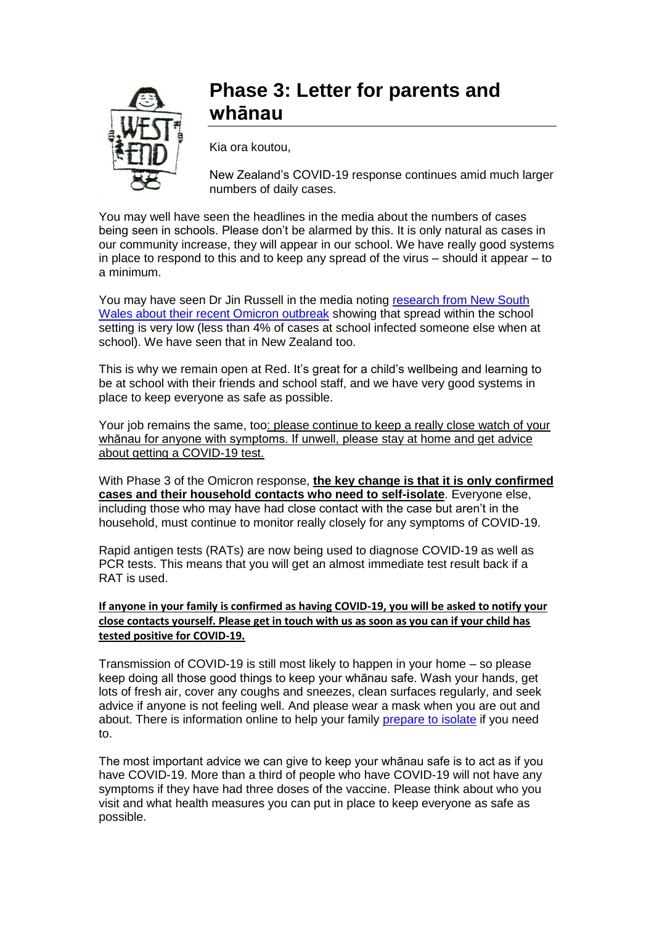

## **Phase 3: Letter for parents and whānau**

Kia ora koutou,

New Zealand's COVID-19 response continues amid much larger numbers of daily cases.

You may well have seen the headlines in the media about the numbers of cases being seen in schools. Please don't be alarmed by this. It is only natural as cases in our community increase, they will appear in our school. We have really good systems in place to respond to this and to keep any spread of the virus – should it appear – to a minimum.

You may have seen Dr Jin Russell in the media noting [research from New South](https://www.ncirs.org.au/sites/default/files/2022-02/NCIRS_NSW_Schools_COVID_Summary_Term_4_2021_Report%20-%2018-02-2022_FINAL_1.pdf)  [Wales about their recent Omicron outbreak](https://www.ncirs.org.au/sites/default/files/2022-02/NCIRS_NSW_Schools_COVID_Summary_Term_4_2021_Report%20-%2018-02-2022_FINAL_1.pdf) showing that spread within the school setting is very low (less than 4% of cases at school infected someone else when at school). We have seen that in New Zealand too.

This is why we remain open at Red. It's great for a child's wellbeing and learning to be at school with their friends and school staff, and we have very good systems in place to keep everyone as safe as possible.

Your job remains the same, too: please continue to keep a really close watch of your whānau for anyone with symptoms. If unwell, please stay at home and get advice about getting a COVID-19 test.

With Phase 3 of the Omicron response, **the key change is that it is only confirmed cases and their household contacts who need to self-isolate**. Everyone else, including those who may have had close contact with the case but aren't in the household, must continue to monitor really closely for any symptoms of COVID-19.

Rapid antigen tests (RATs) are now being used to diagnose COVID-19 as well as PCR tests. This means that you will get an almost immediate test result back if a RAT is used.

## **If anyone in your family is confirmed as having COVID-19, you will be asked to notify your close contacts yourself. Please get in touch with us as soon as you can if your child has tested positive for COVID-19.**

Transmission of COVID-19 is still most likely to happen in your home – so please keep doing all those good things to keep your whānau safe. Wash your hands, get lots of fresh air, cover any coughs and sneezes, clean surfaces regularly, and seek advice if anyone is not feeling well. And please wear a mask when you are out and about. There is information online to help your family [prepare to isolate](https://covid19.govt.nz/prepare-and-stay-safe/preparing-to-self-isolate/) if you need to.

The most important advice we can give to keep your whānau safe is to act as if you have COVID-19. More than a third of people who have COVID-19 will not have any symptoms if they have had three doses of the vaccine. Please think about who you visit and what health measures you can put in place to keep everyone as safe as possible.